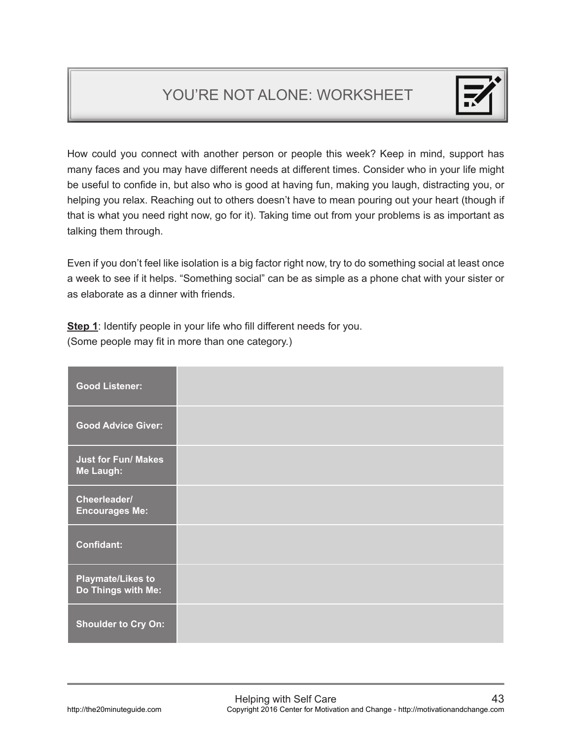## YOU'RE NOT ALONE: WORKSHEET



How could you connect with another person or people this week? Keep in mind, support has many faces and you may have different needs at different times. Consider who in your life might be useful to confide in, but also who is good at having fun, making you laugh, distracting you, or helping you relax. Reaching out to others doesn't have to mean pouring out your heart (though if that is what you need right now, go for it). Taking time out from your problems is as important as talking them through.

Even if you don't feel like isolation is a big factor right now, try to do something social at least once a week to see if it helps. "Something social" can be as simple as a phone chat with your sister or as elaborate as a dinner with friends.

**Step 1**: Identify people in your life who fill different needs for you. (Some people may fit in more than one category.)

| <b>Good Listener:</b>                          |  |
|------------------------------------------------|--|
| <b>Good Advice Giver:</b>                      |  |
| <b>Just for Fun/ Makes</b><br>Me Laugh:        |  |
| Cheerleader/<br><b>Encourages Me:</b>          |  |
| <b>Confidant:</b>                              |  |
| <b>Playmate/Likes to</b><br>Do Things with Me: |  |
| <b>Shoulder to Cry On:</b>                     |  |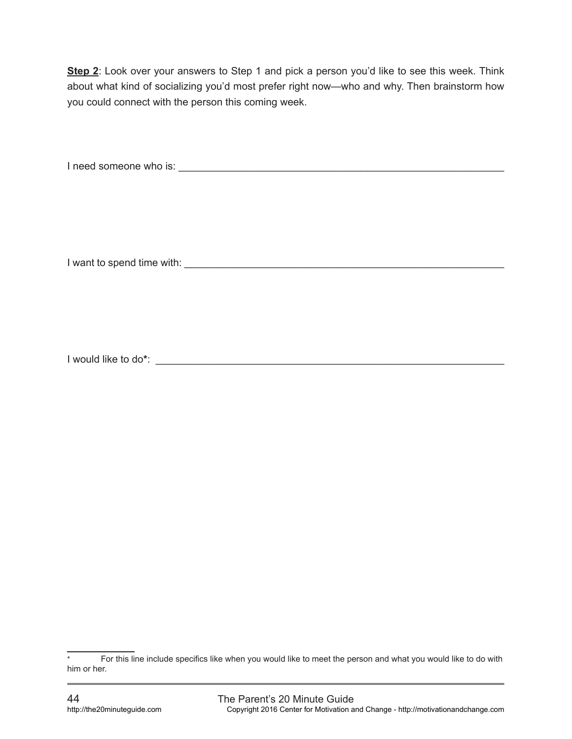**Step 2**: Look over your answers to Step 1 and pick a person you'd like to see this week. Think about what kind of socializing you'd most prefer right now—who and why. Then brainstorm how you could connect with the person this coming week.

I need someone who is: \_\_\_\_\_\_\_\_\_\_\_\_\_\_\_\_\_\_\_\_\_\_\_\_\_\_\_\_\_\_\_\_\_\_\_\_\_\_\_\_\_\_\_\_\_\_\_\_\_\_\_\_\_\_\_\_\_

I want to spend time with: \_\_\_\_\_\_\_\_\_\_\_\_\_\_\_\_\_\_\_\_\_\_\_\_\_\_\_\_\_\_\_\_\_\_\_\_\_\_\_\_\_\_\_\_\_\_\_\_\_\_\_\_\_\_\_\_

I would like to do**\***: \_\_\_\_\_\_\_\_\_\_\_\_\_\_\_\_\_\_\_\_\_\_\_\_\_\_\_\_\_\_\_\_\_\_\_\_\_\_\_\_\_\_\_\_\_\_\_\_\_\_\_\_\_\_\_\_\_\_\_\_\_

For this line include specifics like when you would like to meet the person and what you would like to do with him or her.